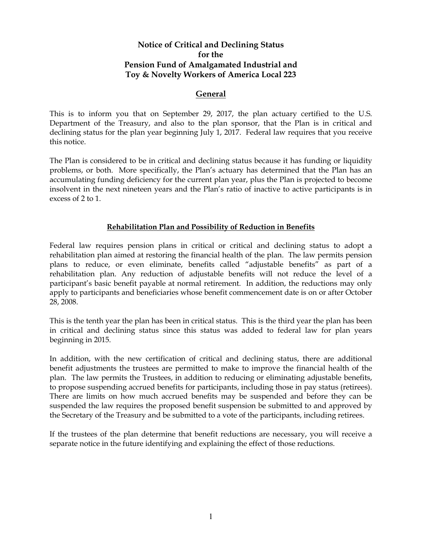# **Notice of Critical and Declining Status for the Pension Fund of Amalgamated Industrial and Toy & Novelty Workers of America Local 223**

### **General**

This is to inform you that on September 29, 2017, the plan actuary certified to the U.S. Department of the Treasury, and also to the plan sponsor, that the Plan is in critical and declining status for the plan year beginning July 1, 2017. Federal law requires that you receive this notice.

The Plan is considered to be in critical and declining status because it has funding or liquidity problems, or both. More specifically, the Plan's actuary has determined that the Plan has an accumulating funding deficiency for the current plan year, plus the Plan is projected to become insolvent in the next nineteen years and the Plan's ratio of inactive to active participants is in excess of 2 to 1.

## **Rehabilitation Plan and Possibility of Reduction in Benefits**

Federal law requires pension plans in critical or critical and declining status to adopt a rehabilitation plan aimed at restoring the financial health of the plan. The law permits pension plans to reduce, or even eliminate, benefits called "adjustable benefits" as part of a rehabilitation plan. Any reduction of adjustable benefits will not reduce the level of a participant's basic benefit payable at normal retirement. In addition, the reductions may only apply to participants and beneficiaries whose benefit commencement date is on or after October 28, 2008.

This is the tenth year the plan has been in critical status. This is the third year the plan has been in critical and declining status since this status was added to federal law for plan years beginning in 2015.

In addition, with the new certification of critical and declining status, there are additional benefit adjustments the trustees are permitted to make to improve the financial health of the plan. The law permits the Trustees, in addition to reducing or eliminating adjustable benefits, to propose suspending accrued benefits for participants, including those in pay status (retirees). There are limits on how much accrued benefits may be suspended and before they can be suspended the law requires the proposed benefit suspension be submitted to and approved by the Secretary of the Treasury and be submitted to a vote of the participants, including retirees.

If the trustees of the plan determine that benefit reductions are necessary, you will receive a separate notice in the future identifying and explaining the effect of those reductions.